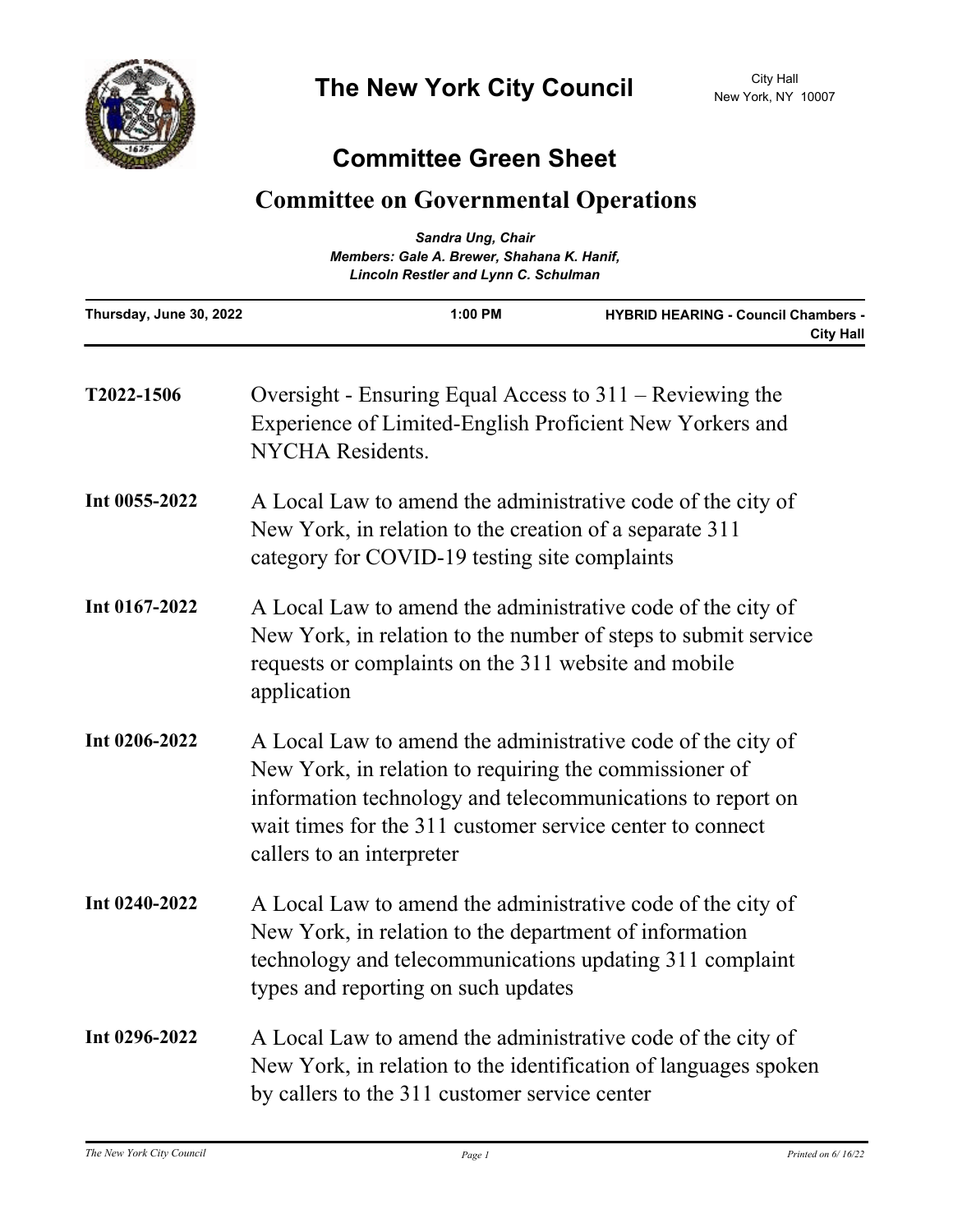## **Committee Green Sheet**

## **Committee on Governmental Operations**

| Sandra Ung, Chair<br>Members: Gale A. Brewer, Shahana K. Hanif,<br><b>Lincoln Restler and Lynn C. Schulman</b> |                                                                                                                                                                                                                                                                               |         |                                                                |
|----------------------------------------------------------------------------------------------------------------|-------------------------------------------------------------------------------------------------------------------------------------------------------------------------------------------------------------------------------------------------------------------------------|---------|----------------------------------------------------------------|
| Thursday, June 30, 2022                                                                                        |                                                                                                                                                                                                                                                                               | 1:00 PM | <b>HYBRID HEARING - Council Chambers -</b><br><b>City Hall</b> |
| T2022-1506                                                                                                     | Oversight - Ensuring Equal Access to $311 -$ Reviewing the<br>Experience of Limited-English Proficient New Yorkers and<br><b>NYCHA</b> Residents.                                                                                                                             |         |                                                                |
| Int 0055-2022                                                                                                  | A Local Law to amend the administrative code of the city of<br>New York, in relation to the creation of a separate 311<br>category for COVID-19 testing site complaints                                                                                                       |         |                                                                |
| Int 0167-2022                                                                                                  | A Local Law to amend the administrative code of the city of<br>New York, in relation to the number of steps to submit service<br>requests or complaints on the 311 website and mobile<br>application                                                                          |         |                                                                |
| Int 0206-2022                                                                                                  | A Local Law to amend the administrative code of the city of<br>New York, in relation to requiring the commissioner of<br>information technology and telecommunications to report on<br>wait times for the 311 customer service center to connect<br>callers to an interpreter |         |                                                                |
| Int 0240-2022                                                                                                  | A Local Law to amend the administrative code of the city of<br>New York, in relation to the department of information<br>technology and telecommunications updating 311 complaint<br>types and reporting on such updates                                                      |         |                                                                |
| Int 0296-2022                                                                                                  | A Local Law to amend the administrative code of the city of<br>New York, in relation to the identification of languages spoken<br>by callers to the 311 customer service center                                                                                               |         |                                                                |